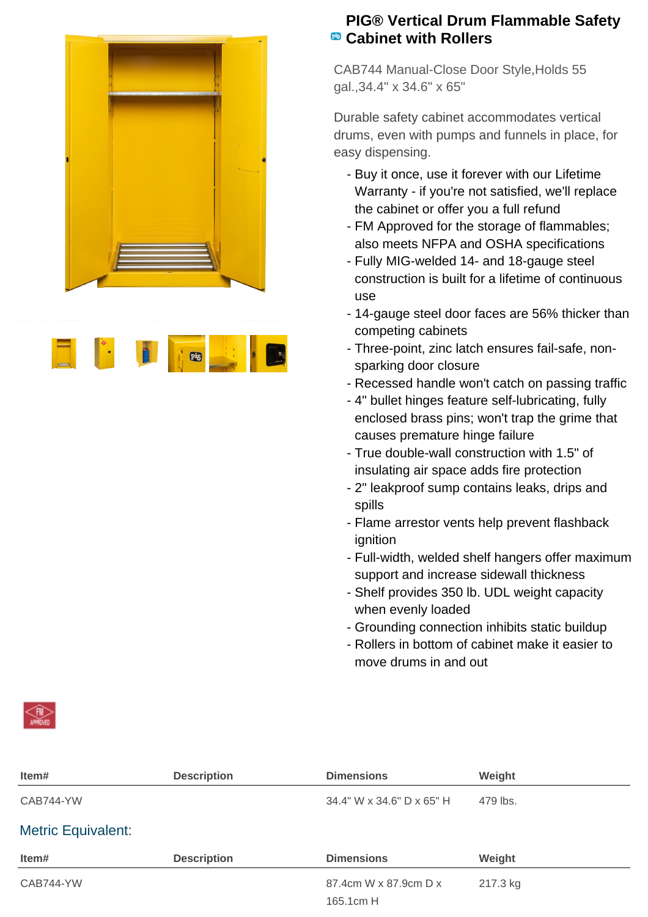



## **PIG® Vertical Drum Flammable Safety Cabinet with Rollers**

CAB744 Manual-Close Door Style,Holds 55 gal.,34.4" x 34.6" x 65"

Durable safety cabinet accommodates vertical drums, even with pumps and funnels in place, for easy dispensing.

- Buy it once, use it forever with our Lifetime Warranty - if you're not satisfied, we'll replace the cabinet or offer you a full refund
- FM Approved for the storage of flammables; also meets NFPA and OSHA specifications
- Fully MIG-welded 14- and 18-gauge steel construction is built for a lifetime of continuous use
- 14-gauge steel door faces are 56% thicker than competing cabinets
- Three-point, zinc latch ensures fail-safe, non- sparking door closure
- Recessed handle won't catch on passing traffic
- 4" bullet hinges feature self-lubricating, fully enclosed brass pins; won't trap the grime that causes premature hinge failure
- True double-wall construction with 1.5" of insulating air space adds fire protection
- 2" leakproof sump contains leaks, drips and spills
- Flame arrestor vents help prevent flashback ignition
- Full-width, welded shelf hangers offer maximum support and increase sidewall thickness
- Shelf provides 350 lb. UDL weight capacity when evenly loaded
- Grounding connection inhibits static buildup
- Rollers in bottom of cabinet make it easier to move drums in and out

| Item#                     | <b>Description</b> | <b>Dimensions</b>         | Weight   |  |
|---------------------------|--------------------|---------------------------|----------|--|
| CAB744-YW                 |                    | 34.4" W x 34.6" D x 65" H | 479 lbs. |  |
| <b>Metric Equivalent:</b> |                    |                           |          |  |
| Item#                     | <b>Description</b> | <b>Dimensions</b>         | Weight   |  |
| CAB744-YW                 |                    | 87.4cm W x 87.9cm D x     | 217.3 kg |  |
|                           |                    | 165.1cm H                 |          |  |